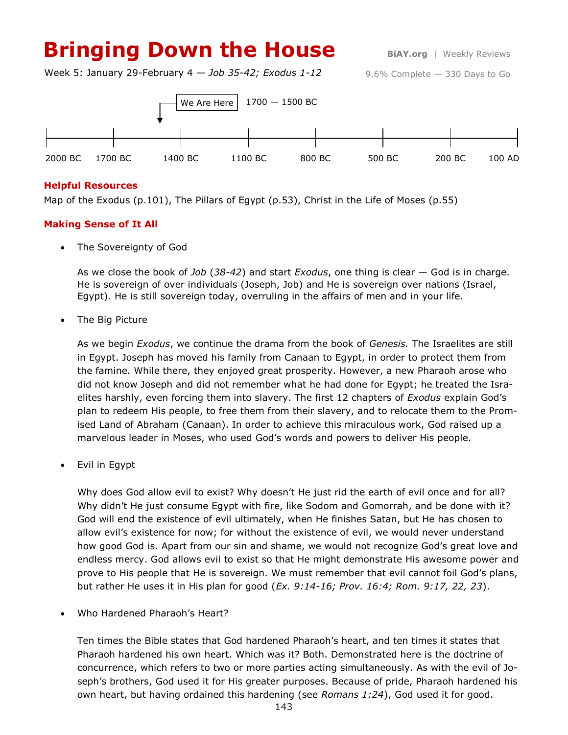# **Bringing Down the House** BiAY.org | Weekly Reviews

Week 5: January 29-February 4 — *Job 35-42; Exodus 1-12*

9.6% Complete — 330 Days to Go



## **Helpful Resources**

Map of the Exodus (p.101), The Pillars of Egypt (p.53), Christ in the Life of Moses (p.55)

# **Making Sense of It All**

The Sovereignty of God

As we close the book of *Job* (*38-42*) and start *Exodus*, one thing is clear — God is in charge. He is sovereign of over individuals (Joseph, Job) and He is sovereign over nations (Israel, Egypt). He is still sovereign today, overruling in the affairs of men and in your life.

The Big Picture

As we begin *Exodus*, we continue the drama from the book of *Genesis.* The Israelites are still in Egypt. Joseph has moved his family from Canaan to Egypt, in order to protect them from the famine. While there, they enjoyed great prosperity. However, a new Pharaoh arose who did not know Joseph and did not remember what he had done for Egypt; he treated the Israelites harshly, even forcing them into slavery. The first 12 chapters of *Exodus* explain God's plan to redeem His people, to free them from their slavery, and to relocate them to the Promised Land of Abraham (Canaan). In order to achieve this miraculous work, God raised up a marvelous leader in Moses, who used God's words and powers to deliver His people.

Evil in Egypt

Why does God allow evil to exist? Why doesn't He just rid the earth of evil once and for all? Why didn't He just consume Egypt with fire, like Sodom and Gomorrah, and be done with it? God will end the existence of evil ultimately, when He finishes Satan, but He has chosen to allow evil's existence for now; for without the existence of evil, we would never understand how good God is. Apart from our sin and shame, we would not recognize God's great love and endless mercy. God allows evil to exist so that He might demonstrate His awesome power and prove to His people that He is sovereign. We must remember that evil cannot foil God's plans, but rather He uses it in His plan for good (*Ex. 9:14-16; Prov. 16:4; Rom. 9:17, 22, 23*).

Who Hardened Pharaoh's Heart?

Ten times the Bible states that God hardened Pharaoh's heart, and ten times it states that Pharaoh hardened his own heart. Which was it? Both. Demonstrated here is the doctrine of concurrence, which refers to two or more parties acting simultaneously. As with the evil of Joseph's brothers, God used it for His greater purposes. Because of pride, Pharaoh hardened his own heart, but having ordained this hardening (see *Romans 1:24*), God used it for good.